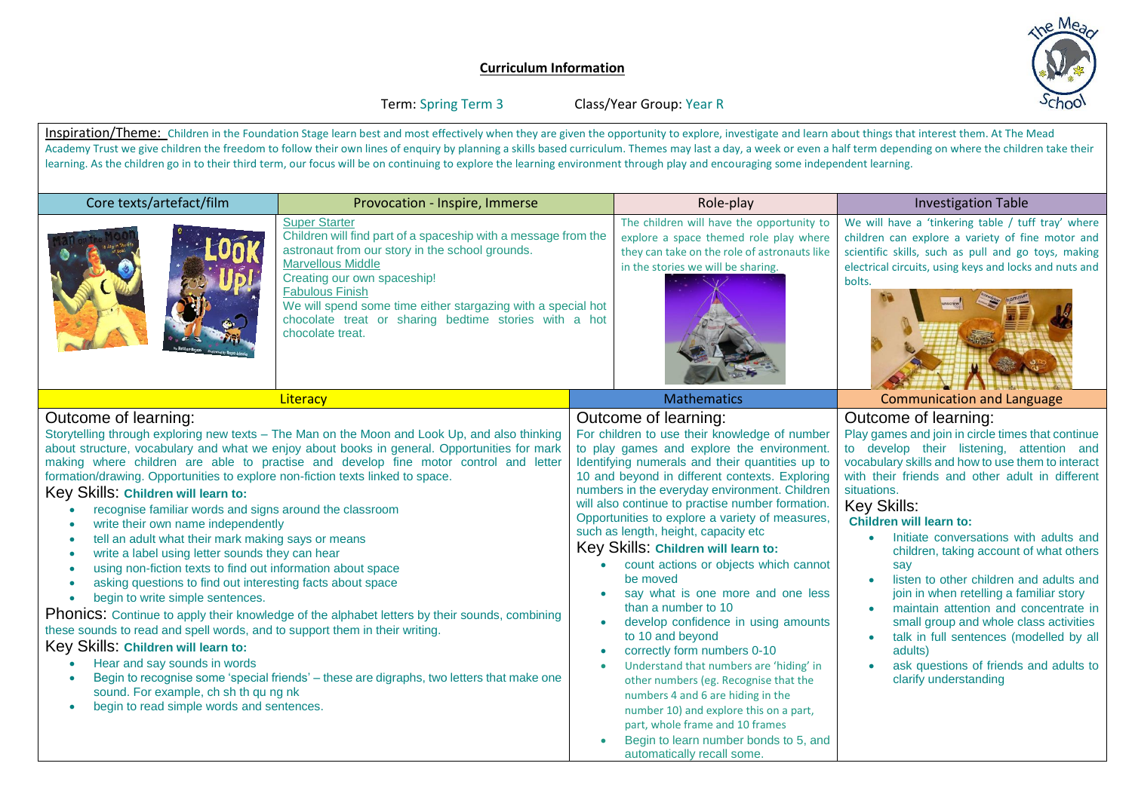## **Curriculum Information**



Term: Spring Term 3 Class/Year Group: Year R

Inspiration/Theme: Children in the Foundation Stage learn best and most effectively when they are given the opportunity to explore, investigate and learn about things that interest them. At The Mead Academy Trust we give children the freedom to follow their own lines of enquiry by planning a skills based curriculum. Themes may last a day, a week or even a half term depending on where the children take their learning. As the children go in to their third term, our focus will be on continuing to explore the learning environment through play and encouraging some independent learning.

| Core texts/artefact/film                                                                                                                                                                                                                                                                                                                                                                                                                                                                                                                                                                                                                                                                                                                                                                                                                                                                                                                                                                                                                                                                                                                                                                                                                                                                                                                  | Provocation - Inspire, Immerse                                                                                                                                                                                                                                                                                                                                              |                                                                                                                                                                                                                                                                                                                                                                                                                                                                                                                                                                                                                                                                                                                                                                                                                                                                                                                                        | Role-play                                                                                                                                                                 | <b>Investigation Table</b>                                                                                                                                                                                                                                                                                                                                                                                                                                                                                                                                                                                                                                                                                             |
|-------------------------------------------------------------------------------------------------------------------------------------------------------------------------------------------------------------------------------------------------------------------------------------------------------------------------------------------------------------------------------------------------------------------------------------------------------------------------------------------------------------------------------------------------------------------------------------------------------------------------------------------------------------------------------------------------------------------------------------------------------------------------------------------------------------------------------------------------------------------------------------------------------------------------------------------------------------------------------------------------------------------------------------------------------------------------------------------------------------------------------------------------------------------------------------------------------------------------------------------------------------------------------------------------------------------------------------------|-----------------------------------------------------------------------------------------------------------------------------------------------------------------------------------------------------------------------------------------------------------------------------------------------------------------------------------------------------------------------------|----------------------------------------------------------------------------------------------------------------------------------------------------------------------------------------------------------------------------------------------------------------------------------------------------------------------------------------------------------------------------------------------------------------------------------------------------------------------------------------------------------------------------------------------------------------------------------------------------------------------------------------------------------------------------------------------------------------------------------------------------------------------------------------------------------------------------------------------------------------------------------------------------------------------------------------|---------------------------------------------------------------------------------------------------------------------------------------------------------------------------|------------------------------------------------------------------------------------------------------------------------------------------------------------------------------------------------------------------------------------------------------------------------------------------------------------------------------------------------------------------------------------------------------------------------------------------------------------------------------------------------------------------------------------------------------------------------------------------------------------------------------------------------------------------------------------------------------------------------|
|                                                                                                                                                                                                                                                                                                                                                                                                                                                                                                                                                                                                                                                                                                                                                                                                                                                                                                                                                                                                                                                                                                                                                                                                                                                                                                                                           | <b>Super Starter</b><br>Children will find part of a spaceship with a message from the<br>astronaut from our story in the school grounds.<br><b>Marvellous Middle</b><br>Creating our own spaceship!<br><b>Fabulous Finish</b><br>We will spend some time either stargazing with a special hot<br>chocolate treat or sharing bedtime stories with a hot<br>chocolate treat. |                                                                                                                                                                                                                                                                                                                                                                                                                                                                                                                                                                                                                                                                                                                                                                                                                                                                                                                                        | The children will have the opportunity to<br>explore a space themed role play where<br>they can take on the role of astronauts like<br>in the stories we will be sharing. | We will have a 'tinkering table / tuff tray' where<br>children can explore a variety of fine motor and<br>scientific skills, such as pull and go toys, making<br>electrical circuits, using keys and locks and nuts and<br>bolts.                                                                                                                                                                                                                                                                                                                                                                                                                                                                                      |
|                                                                                                                                                                                                                                                                                                                                                                                                                                                                                                                                                                                                                                                                                                                                                                                                                                                                                                                                                                                                                                                                                                                                                                                                                                                                                                                                           | Literacy                                                                                                                                                                                                                                                                                                                                                                    |                                                                                                                                                                                                                                                                                                                                                                                                                                                                                                                                                                                                                                                                                                                                                                                                                                                                                                                                        | <b>Mathematics</b>                                                                                                                                                        | <b>Communication and Language</b>                                                                                                                                                                                                                                                                                                                                                                                                                                                                                                                                                                                                                                                                                      |
| Outcome of learning:<br>Storytelling through exploring new texts - The Man on the Moon and Look Up, and also thinking<br>about structure, vocabulary and what we enjoy about books in general. Opportunities for mark<br>making where children are able to practise and develop fine motor control and letter<br>formation/drawing. Opportunities to explore non-fiction texts linked to space.<br>Key Skills: Children will learn to:<br>recognise familiar words and signs around the classroom<br>write their own name independently<br>$\bullet$<br>tell an adult what their mark making says or means<br>$\bullet$<br>write a label using letter sounds they can hear<br>$\bullet$<br>using non-fiction texts to find out information about space<br>$\bullet$<br>asking questions to find out interesting facts about space<br>$\bullet$<br>begin to write simple sentences.<br>$\bullet$<br>Phonics: Continue to apply their knowledge of the alphabet letters by their sounds, combining<br>these sounds to read and spell words, and to support them in their writing.<br>Key Skills: Children will learn to:<br>Hear and say sounds in words<br>Begin to recognise some 'special friends' - these are digraphs, two letters that make one<br>sound. For example, ch sh th qu ng nk<br>begin to read simple words and sentences. |                                                                                                                                                                                                                                                                                                                                                                             | Outcome of learning:<br>For children to use their knowledge of number<br>to play games and explore the environment.<br>Identifying numerals and their quantities up to<br>10 and beyond in different contexts. Exploring<br>numbers in the everyday environment. Children<br>will also continue to practise number formation.<br>Opportunities to explore a variety of measures,<br>such as length, height, capacity etc<br>Key Skills: Children will learn to:<br>count actions or objects which cannot<br>be moved<br>say what is one more and one less<br>than a number to 10<br>develop confidence in using amounts<br>$\bullet$<br>to 10 and beyond<br>correctly form numbers 0-10<br>Understand that numbers are 'hiding' in<br>other numbers (eg. Recognise that the<br>numbers 4 and 6 are hiding in the<br>number 10) and explore this on a part,<br>part, whole frame and 10 frames<br>Begin to learn number bonds to 5, and |                                                                                                                                                                           | Outcome of learning:<br>Play games and join in circle times that continue<br>to develop their listening, attention and<br>vocabulary skills and how to use them to interact<br>with their friends and other adult in different<br>situations.<br>Key Skills:<br><b>Children will learn to:</b><br>Initiate conversations with adults and<br>children, taking account of what others<br>say<br>listen to other children and adults and<br>$\bullet$<br>join in when retelling a familiar story<br>maintain attention and concentrate in<br>$\bullet$<br>small group and whole class activities<br>talk in full sentences (modelled by all<br>adults)<br>ask questions of friends and adults to<br>clarify understanding |